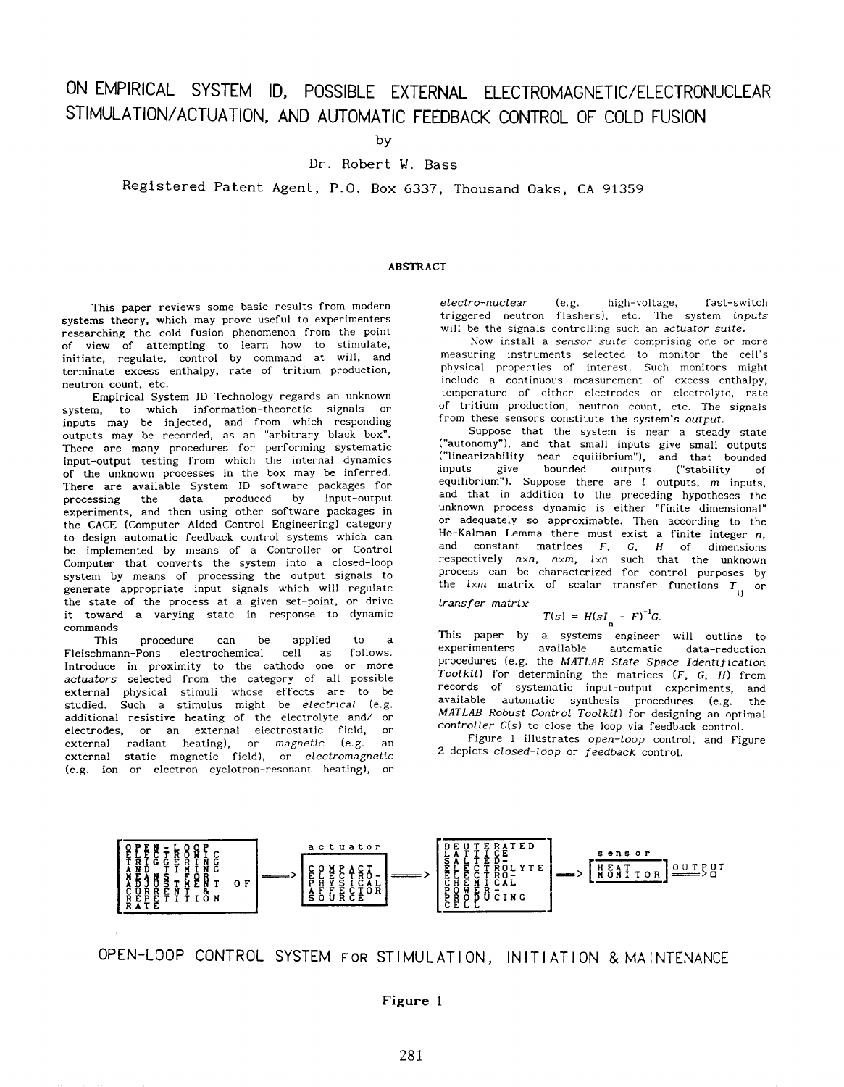# ON EMPIRICAL SYSTEM ID, POSSIBLE EXTERNAL ELECTROMAGNETIC/ELECTRoNucLEAR STIMULATION/ACTUATION, AND AUTOMATIC FEEDBACK CONTROL OF COLD FUSION

**by** 

### **Dr. Robert M. Bass**

**Registered Patent Agent, P.O. Box 6337, Thousand Oaks, CA 91359** 

#### ABSTRACT

This paper reviews some basic results from modern systems theory, which may prove useful to experimenters researching the cold fusion phenomenon from the point of view of attempting to learn how to stimulate, initiate, regulate, control by command at will, and terminate excess enthalpy, rate of tritium production, neutron count, etc.

Empirical System ID Technology regards an unknown system, to which information-theoretic signals or inputs may be injected, and from which responding outputs may be recorded, as an "arbitrary black box". There are many procedures for performing systematic input-output testing from which the internal dynamics of the unknown processes in the box may be inferred. There are available System ID software packages for data produced by experiments, and then using other software packages in the CACE (Computer Aided Control Engineering) category to design automatic feedback control systems which can be implemented by means of a Controller or Control Computer that converts the system into a closed-loop system by means of processing the output signals to generate appropriate input signals which will regulate the state of the process at a given set-point, or drive it toward a varying state in response to dynamic commands

This procedure can be applied to a<br>Fleischmann-Pons electrochemical cell as follows. electrochemical cell as Introduce in proximity to the cathode one **or** more *actuators* selected from the category of all possible external physical stimuli whose effects are to be studied. Such a stimulus might be *electrical* (e.g. additional resistive heating of the electrolyte and/ or electrodes, or an external electrostatic field, or external radiant heating), or *magnetic* (e.g. an external static magnetic field), or *electromagnetic*  (e.g. ion or electron cyclotron-resonant heating), or *electro-nuclear* (e.g. high-voltage, fast-switch triggered neutron flashers), etc. The system *inputs*  will be the signals controlling such an *actuator suite.* 

Now install a *sensor suite* comprising one or more measuring instruments selected to monitor the cell's physical properties of interest. Such monitors might include a continuous measurement of excess enthalpy, temperature of either electrodes or electrolyte, rate of tritium production, neutron count, etc. The signals from these sensors constitute the system's *output.* 

Suppose that the system is near a steady state ("autonomy"), and that small inputs give small outputs ("linearizability near equiiibrium"), and that bounded outputs ("stability of equilibrium"). Suppose there are *1* outputs, *m* inputs, and that in addition to the preceding hypotheses the unknown process dynamic is either "finite dimensional" or adequately *so* approximable. Then according to the Ho-Kalman Lemma there must exist a finite integer *n,*  and constant matrices *F,* **G,** *H* of dimensions respectively *nxn, nxm, lxn* such that the unknown process can be characterized for control purposes by the  $l \times m$  matrix of scalar transfer functions  $T_{1j}$  or

*transfer matrix* 

$$
T(s) = H(sI - F)^{-1}G.
$$

This paper by a systems engineer will outline to experimenters available automatic data-reduction procedures (e.g. the *MATLAB State Space Identification Toolkit)* for determining the matrices *(F,* **G.** *H)* from records of systematic input-output experiments, and available automatic synthesis procedures (e.g. the *MATLAB Robust Control Toolkit)* for designing an optimal *controller* C(s) to close the loop via feedback control.

[Figure 1](#page--1-0) illustrates *open-loop* control, and [Figure](#page--1-0) [2](#page--1-0) depicts *closed-loop* or *feedback* control.



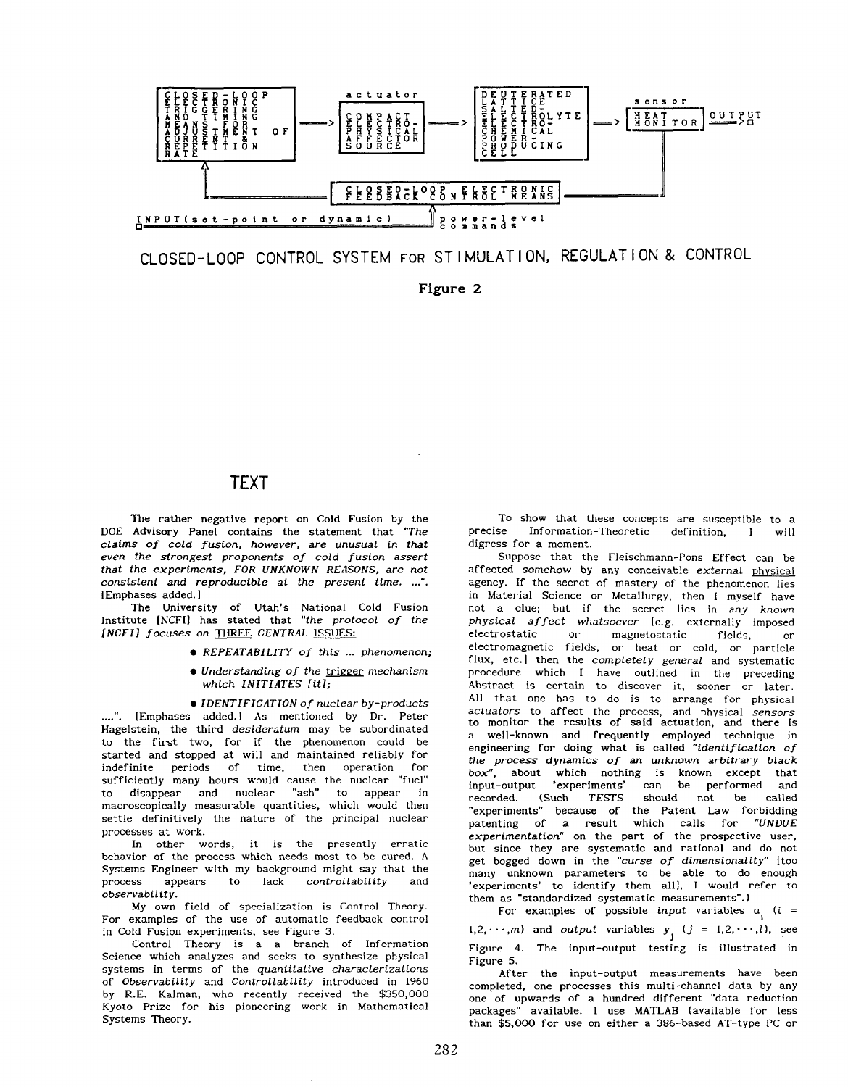

CLOSED-LOOP CONTROL SYSTEM FOR ST I MULAT I ON, REGULAT I ON & CONTROL

**[Figure](#page--1-0)** *2* 

# **TEXT**

The rather negative report on Cold Fusion by the DOE Advisory Panel contains the statement that *"The claims of cold fusion, however, are unusual in that even the strongest proponents* of *cold fusion assert that the experiments, FOR UNKNOWN REASONS, are not consistent and reproducible at the present time. ...'I.*  [Emphases added.]

The University of Utah's National Cold Fusion Institute [NCFI] has stated that *"the protocol of the [NCFI] focuses on* THREE *CENTRAL* **ISSUES:** 

- *REPEATABILITY* of *this* ... *phenomenon;*
- Understanding of the trigger *mechanism which INITIATES fit];*

*IDENTIFICATION* of *nuclear by-products*  **....'I.** [Emphases added.] As mentioned by **Dr.** Peter Hagelstein, the third *desideratum* may be subordinated to the first two, for if the phenomenon could be started and stopped at will and maintained reliably for indefinite periods of time, then operation for sufficiently many hours would cause the nuclear "fuel" to disappear and nuclear "ash" to appear in macroscopically measurable quantities, which would then settle definitively the nature of the principal nuclear processes at work.

In other words, it is the presently erratic behavior *of* the process which needs most to be cured. A Systems Engineer with my background might say that the process appears to lack controllability and process appears to lack *controllability* and *observabil ity.* 

My own field of specialization is Control Theory. For examples of the use of automatic feedback control in Cold Fusion experiments, see [Figure 3.](#page--1-0)

Control Theory is a a branch of Information Science which analyzes and seeks to synthesize physical systems in terms of the *quantitative characterizations*  of *Observability* and *Controllability* introduced in *1960*  by R.E. Kalman, who recently received the \$350,000 Kyoto Prize for his pioneering work in Mathematical Systems Theory.

To show that these concepts are susceptible to a<br>precise Information-Theoretic definition I will Information-Theoretic definition, I will digress for a moment.

Suppose that the Fleischmann-Pons Effect can be affected *somehow* by any conceivable *external* physical agency. If the secret of mastery of the phenomenon lies in Material Science or Metallurgy, then **I** myself have not a clue; but if the secret lies in *any known physical af fect whatsoever* 1e.g. externally imposed electrostatic or magnetostatic fields, or electromagnetic fields, or heat or cold, **or** particle flux, etc.1 then the *completely general* and systematic procedure which I have outlined in the preceding Abstract is certain to discover it, sooner or later. All that one has to do is to arrange for physical *actuators* to affect the process, and physical *sensors*  to monitor the results of said actuation, and there is a well-known and frequently employed technique in engineering for doing what is called *"identification of the process dynamics* of *an unknown arbitrary black box",* about which nothing is known except that in the performed and should not be called recorded. (Such *TESTS* should not be called "experiments" because of the Patent Law forbidding<br>patenting of a result which calls for "UNDUE patenting of a result which calls for *experimentation"* on the part of the prospective user, but since they are systematic and rational and do not get bogged down in the *"curse of dimensionality"* [too many unknown parameters to be able to do enough 'experiments' to identify them all], **I** would refer to them as "standardized systematic measurements". **<sup>1</sup>**

For examples of possible *input* variables  $u_i$  (*i* = 1,2,  $\cdots$ ,*m*) and *output* variables  $y_j$  ( $j = 1, 2, \cdots, l$ ), see [Figure 4.](#page--1-0) The input-output testing is illustrated in [Figure 5.](#page--1-0)

After the input-output measurements have been completed, one processes this multi-channel data by any one *of* upwards of a hundred different "data reduction packages" available. I use MATLAB (available for less than \$5,000 for use on either a 386-based AT-type PC or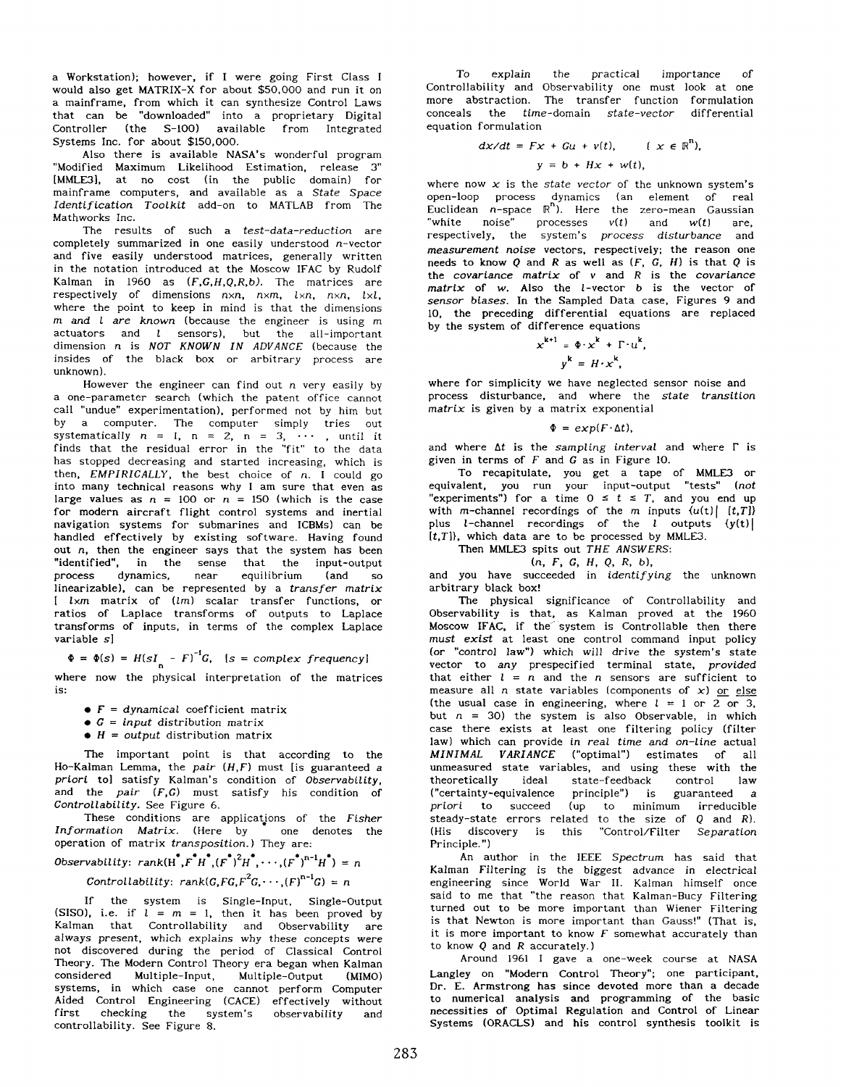a Workstation); however, if I were going First Class I would also get MATRIX-X for about \$50,000 and run it on a mainframe, from which it can synthesize Control Laws that can be "downloaded" into a proprietary Digital Controller (the S-100) available from Integrated Systems Inc. for about \$150,000.

Also there is available NASA's wonderful program "Modified Maximum Likelihood Estimation, release *3"*  [MMLE3], at no cost (in the public domain) for mainframe computers, and available as a State Space Identification Toolkit add-on to MATLAB from The Mathworks Inc.

The results of such a test-data-reduction are completely summarized in one easily understood n-vector and five easily understood matrices, generally written in the notation introduced at the Moscow IFAC by Rudolf Kalman in 1960 as  $(F,G,H,Q,R,b)$ . The matrices are respectively of dimensions  $n \times n$ ,  $n \times m$ ,  $l \times n$ ,  $l \times l$ , where the point to keep in mind is that the dimensions *rn* and *1* are known (because the engineer is using m actuators and *1* sensors), but the all-important dimension n is NOT KNOWN IN ADVANCE (because the insides of the black box or arbitrary process are unknown).

However the engineer can find out  $n$  very easily by a one-parameter search (which the patent office cannot call "undue" experimentation), performed not by him but by a computer. The computer simply tries out systematically  $n = 1$ ,  $n = 2$ ,  $n = 3$ ,  $\cdots$ , until it finds that the residual error in the "fit" to the data has stopped decreasing and started increasing, which is then, EMPIRICALLY, the best choice of n. **I** could go into many technical reasons why **I** am sure that even as large values as  $n = 100$  or  $n = 150$  (which is the case for modern aircraft flight control systems and inertial navigation systems for submarines and ICBMs) can be handled effectively by existing software. Having found out  $n$ , then the engineer says that the system has been "identified", in the sense that the input-output process dynamics, near equilibrium (and *so*  linearizable), can be represented by a transfer matrix [ lxm matrix of (lm) scalar transfer functions, or ratios of Laplace transforms of outputs to Laplace transforms of inputs, in terms of the complex Laplace variable s]

 $\Phi = \Phi(s) = H(sI_n - F)^{-1}G$ ,  $[s = complex frequency]$ 

where now the physical interpretation of the matrices is:

- $\bullet$   $F =$  dynamical coefficient matrix
- $\bullet$  *G* = *input* distribution matrix
- $\bullet$  *H* = *output* distribution matrix

The important point is that according to the Ho-Kalman Lemma, the pair  $(H,F)$  must [is guaranteed a priori to] satisfy Kalman's condition of Observability, and the pair *(F,G)* must satisfy his condition of Controllability. See [Figure 6.](#page--1-0)

These conditions are applicatjons of the Fisher Information Matrix. (Here by  $\overline{\phantom{a}}$  one denotes the operation of matrix transposition. ) They are:

$$
\begin{aligned} \text{Observability: } \operatorname{rank}(\operatorname{H}^*, \operatorname{F}^* \operatorname{H}^*, (\operatorname{F}^*)^2 \operatorname{H}^*, \cdots, (\operatorname{F}^*)^{n-1} \operatorname{H}^*) &= n\\ \text{Controllability: } \operatorname{rank}(G, \operatorname{FG}, \operatorname{F}^2 G, \cdots, (\operatorname{F})^{n-1} G) &= n \end{aligned}
$$

If the system is Single-Input, Single-Output (SISO), i.e. if  $l = m = 1$ , then it has been proved by Kalman that Controllability and Observability are always present, which explains why these concepts were not discovered during the period of Classical Control Theory. The Modern Control Theory era began when Kalman considered Multiple-Input, Multiple-Output (MIMO) systems, in which case one cannot perform Computer Aided Control Engineering (CACE) effectively without first checking the system's observability and controllability. See [Figure 8.](#page--1-0)

To explain the practical importance of Controllability and Observability one must look at one more abstraction. The transfer function formulation conceals the time-domain state-vector differential equation formulation

$$
dx/dt = Fx + Gu + v(t), \qquad (x \in \mathbb{R}^n),
$$
  

$$
y = b + Hx + w(t),
$$

where now  $x$  is the *state vector* of the unknown system's open-loop process dynamics (an element of real Euclidean  $n$ -space  $\mathbb{R}^n$ ). Here the zero-mean Gaussian "white noise" processes  $v(t)$  and  $w(t)$  are,<br>respectively, the system's *process disturbance* and measurement noise vectors, respectively; the reason one needs to know Q and *R* as well as *(F,* **G.** H) is that Q is the covariance matrix of  $v$  and  $R$  is the covariance matrix of *w.* Also the I-vector *b* is the vector of sensor biases. In the Sampled Data case, [Figures 9](#page--1-0) and **10,** the preceding differential equations are replaced by the system of difference equations

$$
x^{k+1} = \Phi \cdot x^{k} + \Gamma \cdot u^{k},
$$

$$
y^{k} = H \cdot x^{k},
$$

where for simplicity we have neglected sensor noise and process disturbance, and where the state transition matrix is given by a matrix exponential

#### $\Phi = exp(F \cdot \Delta t),$

and where  $\Delta t$  is the sampling interval and where  $\Gamma$  is given in terms of *F* and **G** as in [Figure 10.](#page--1-0)

To recapitulate, you get a tape of MMLE3 or equivalent, you run your input-output "tests" (not "experiments") for a time  $0 \leq t \leq T$ , and you end up with m-channel recordings of the  $m$  inputs  $\{u(t) | [t,T] \}$ plus *l*-channel recordings of the *l* outputs  $(y(t))$  $[t, T]$ , which data are to be processed by MMLE3.

# Then MMLE3 spits out THE ANSWERS:

(n, *F,* **G,** H, *0,* R, b),

and you have succeeded in identifying the unknown arbitrary black box!

The physical significance of Controllability and Observability is that, as Kalman proved at the 1960 Moscow IFAC. if the system is Controllable then there must exist at least one control command input policy (or "control law") which will drive the system's state vector to any prespecified terminal state, provided that either  $l = n$  and the *n* sensors are sufficient to measure all n state variables (components of *x)* or else (the usual case in engineering, where  $l = 1$  or  $2$  or 3, but  $n = 30$ ) the system is also Observable, in which case there exists at least one filtering policy (filter law) which can provide in real time and on-line actual MINIMAL VARIANCE ("optimal") estimates of all unmeasured state variables, and using these with the theoretically ideal state-feedback control law ("certainty-equivalence principle") is guaranteed a priori to succeed (up to minimum irreducible steady-state errors related to the size of Q and R).<br>(His discovery is this "Control/Filter Separation "Control/Filter Separation Principle.")

An author in the IEEE Spectrum has said that Kalman Filtering is the biggest advance in electrical engineering since World War **11.** Kalman himself once said to me that "the reason that Kalman-Bucy Filtering turned out to be more important than Wiener Filtering is that Newton is more important than Gauss!" (That is, it is more important to know *F* somewhat accurately than to know Q and R accurately.)

Around 1961 I gave a one-week course at NASA Langley on "Modern Control Theory"; one participant, **Dr.** E. Armstrong has since devoted more than a decade to numerical analysis and programming of the basic necessities of Optimal Regulation and Control of Linear Systems (ORACLS) and his control synthesis toolkit is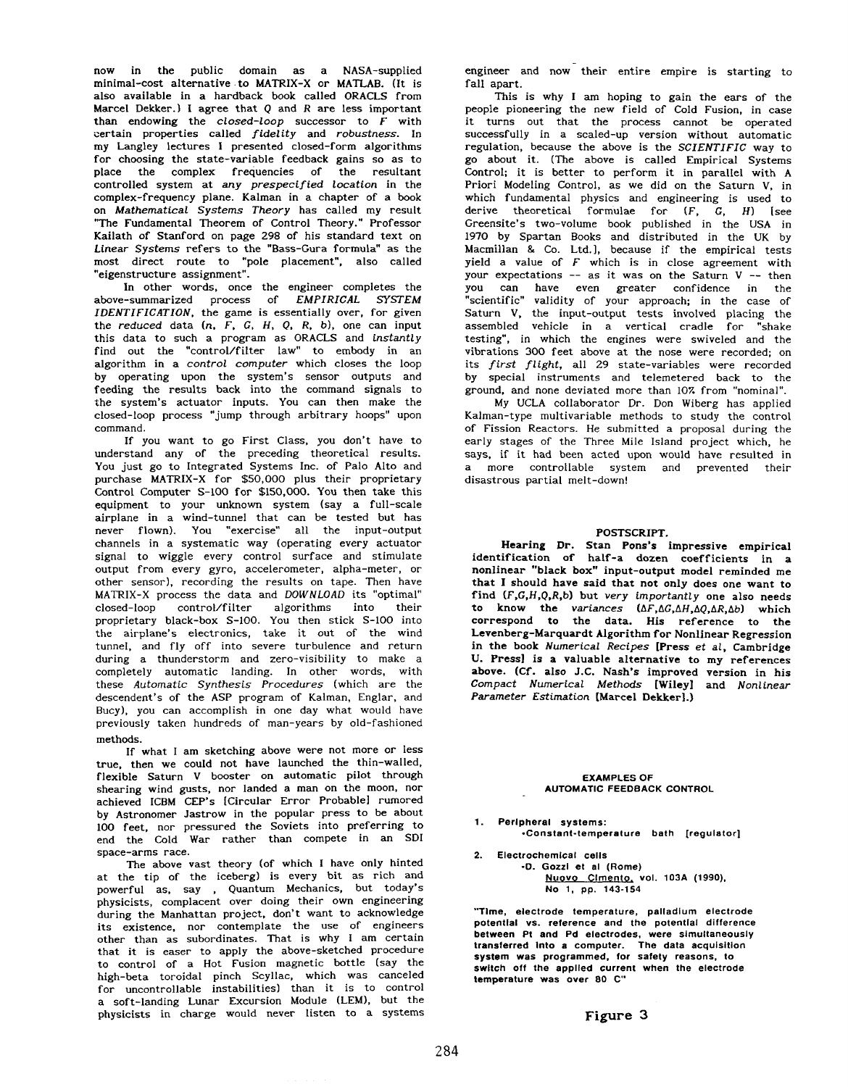now in the public domain as a NASA-supplied minimal-cost alternative .to MATRIX-X or MATLAB. (It is also available in a hardback book called ORACLS from Marcel Dekker.) I agree that Q and *R* are less important than endowing the *closed-loop* successor to *F* with certain properties called *fidelity* and *robustness.* In my Langley lectures I presented closed-form algorithms for choosing the state-variable feedback gains so as to place the complex frequencies of the resultant controlled system at *any prespecified location* in the complex-frequency plane. Kalman in a chapter of a book on *Mathematical Systems Theory* has called my result "The Fundamental Theorem of Control Theory." Professor Kailath of Stanford on [page](#page--1-0) 298 of his standard text on *Linear Systems* refers to the "Bass-Gura formula" as the most direct route to "pole placement", also called "eigenstructure assignment".

In other words, once the engineer completes the above-summarized process of *EMPIRICAL SYSTEM IDENTIFICATION,* the game is essentially over, for given the *reduced* data *(n. F, G, H, Q,* R, *b),* one can input this data to such a program as ORACLS and *instantly*  find out the "control/filter law" to embody in an algorithm in a *control computer* which closes the loop by operating upon the system's sensor outputs and feeding the results back into the command signals to the system's actuator inputs. You can then make the closed-loop process \*'jump through arbitrary hoops" upon command.

If you want to go First Class, you don't have to understand any of the preceding theoretical results. You just go to Integrated Systems Inc. of Palo Alto and purchase MATRIX-X for \$50,000 plus their proprietary Control Computer S-100 for \$150,000. You then take this equipment to your unknown system (say a full-scale airplane in a wind-tunnel that can be tested but has never flown). You "exercise" all the input-output channels in a systematic way (operating every actuator signal to wiggle every control surface and stimulate output from every gyro, accelerometer, alpha-meter, or other sensor). recording the results on tape. Then have MATRIX-X process the data and *DOWNLOAD* its "optimal" closed-loop control/filter algorithms into their proprietary black-box S-100. You then stick S-100 into the airplane's electronics, take it out of the wind tunnel, and fly off into severe turbulence and return during a thunderstorm and zero-visibility to make a completely automatic landing. In other words, with these *Automatic Synthesis Procedures* (which are the descendent's of the ASP program of Kalman, Englar, and Bucy), you can accomplish in one day what would have previously taken hundreds of man-years by old-fashioned methods.

If what I am sketching above were **not** more or less true, then we could not have launched the thin-walled, flexible Saturn **V** booster on automatic pilot through shearing wind gusts, nor landed a man on the moon, nor achieved ICBM CEP's [Circular Error Probable1 rumored by Astronomer Jastrow in the popular press to be about **100** feet, nor pressured the Soviets into preferring to end the Cold War rather than compete in an SDI space-arms race.

The above vast theory (of which I have only hinted at the tip of the iceberg) is every bit as rich and powerful as, say , Quantum Mechanics, but today's physicists, complacent over doing their own engineering during the Manhattan project, don't want to acknowledge its existence, nor contemplate the use of engineers other than as subordinates. That is why I am certain that it is easer to apply the above-sketched procedure to control of a Hot Fusion magnetic bottle (say the high-beta toroidal pinch Scyllac, which was canceled for uncontrollable instabilities) than it is to control a soft-landing Lunar Excursion Module (LEM), but the physicists in charge would never listen to a systems

engineer and now their entire empire is starting to fall apart.

This is why I **am** hoping to gain the ears of the people pioneering the new field of Cold Fusion, in case it turns out that the process cannot be operated successfully in a scaled-up version without automatic regulation, because the above is the *SCIENTIFIC* way to *go* about it. (The above is called Empirical Systems Control; it is better to perform it in parallel with **<sup>A</sup>** Priori Modeling Control, as we did on the Saturn V, in which fundamental physics and engineering is used to derive theoretical formulae for *(F,* G, *H)* [see Greensite's two-volume book published in the USA in 1970 by Spartan Books and distributed in the UK by Macmillan & Co. Ltd.1, because if the empirical tests yield a value of *F* which is in close agreement with your expectations -- as it was on the Saturn V -- then you can have even greater confidence in the "scientific" validity of your approach; in the case of Saturn V, the input-output tests involved placing the assembled vehicle in a vertical cradle for "shake testing", in which the engines were swiveled and the vibrations 300 feet above at the nose were recorded; on its *first flight,* all 29 state-variables were recorded by special instruments and telemetered back to the ground, and none deviated more than 107. from "nominal".

My UCLA collaborator Dr. Don Wiberg has applied Kalman-type multivariable methods to study the control of Fission Reactors. He submitted a proposal during the early stages of the Three Mile Island project which, he says, if it had been acted upon would have resulted in a more controllable system and prevented their disastrous partial melt-down!

#### POSTSCRIPT.

Hearing **Dr.** Stan Pons's impressive empirical identification of half-a dozen coefficients in a nonlinear "black box" input-output model reminded me that I should have said that not only does one want **to**  find **(P,C,H,Q.R,b)** but *very importantly* one also needs to know the *variances (AF,AG,AH,AQ,AR,Ab)* which correspond to the data. His reference to the Levenberg-Marquardt Algorithm for Nonlinear Regression in the book *Numerical Recipes* [Press *et al,* Cambridge **U.** Press] is a valuable alternative to my references above. (Cf. **also** J.C. Nash's improved version in his *Compact Numerical Methods* [Wileyl and *Nonlinear Parameter Estimation* [Marcel Dekkerl.)

#### **EXAMPLES OF AUTOMATIC FEEDBACK CONTROL**

- **1. Perlpheral systems: .Constant-temperature bath [regulator]**
- **2. Electrochemical cells .D. Gozzl et al (Rome) Nuovo Cimento. vol. 103A (1990), NO 1, pp. 143-154**

**"Tlme, electrode temperature, palladium electrode potential vs. reference and the potential difference between Pt and Pd electrodes, were simultaneously transferred Into a computer. The data acquisition system was programmed, for safety reasons, to swltch off the applled current when the electrode temperature was over 80 C"**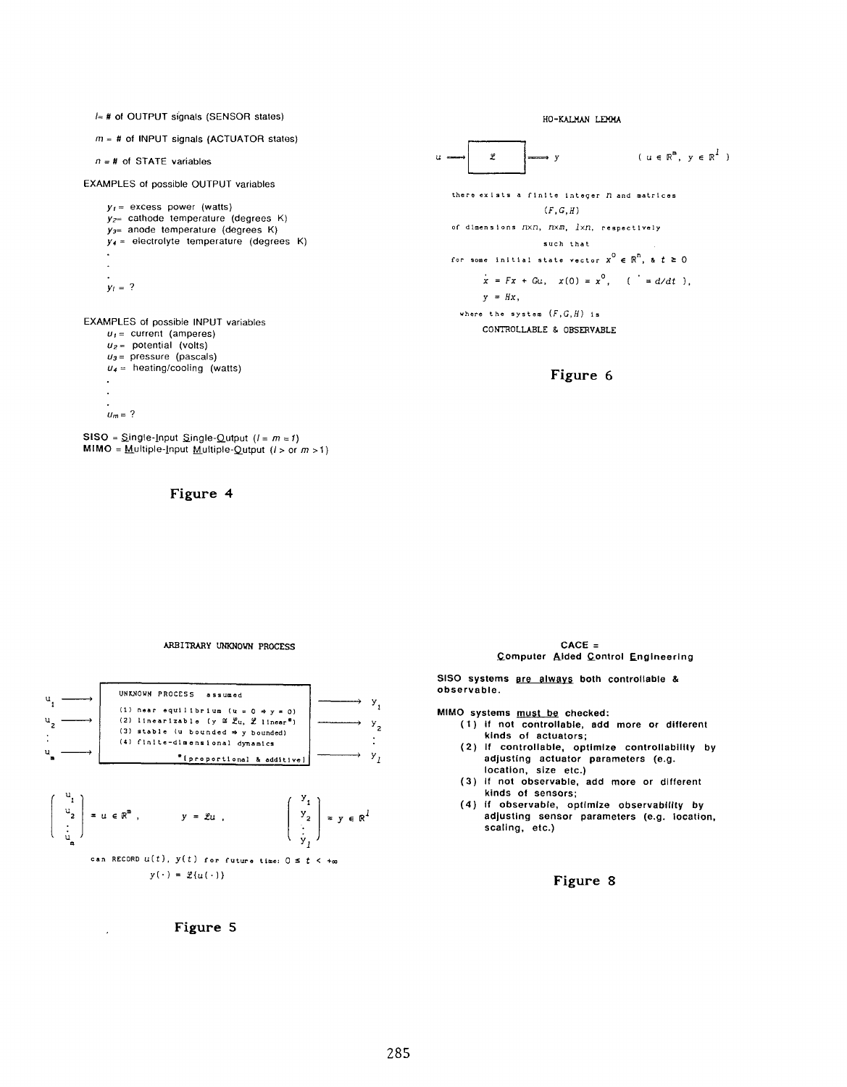/≈ # of OUTPUT signals (SENSOR states)

 $m = #$  of INPUT signals (ACTUATOR states)

 $n = #$  of STATE variables

EXAMPLES of possible OUTPUT variables

 $y_1$  = excess power (watts)  $V_{2}$  cathode temperature (degrees K)  $y_{3}$  anode temperature (degrees K)  $y_4$  = electrolyte temperature (degrees K)  $y_i = ?$ 

EXAMPLES of possible INPUT variables  $u_1$  = current (amperes)  $u_2$  = potential (volts)  $u_3$  = pressure (pascals)  $u_4$  = heating/cooling (watts)  $u_m = ?$ 

SISO =  $\text{Single-Input}\$  Single-Qutput  $(I = m = 1)$ **MIMO** = Multiple-Input Multiple-Qutput  $(l > or m > 1)$ 



HO-KALMAN LEMMA

 $(u \in \mathbb{R}^m, v \in \mathbb{R}^l)$  $\varphi$  $\mathbf{u}$ .  $\mathbf{v}$ there exists a finite integer *n* and matrices  $(F,G,H)$ of dimensions  $n \times n$ ,  $n \times m$ ,  $l \times n$ , respectively such that for some initial state vector  $x^0 \in \mathbb{R}^n$ , &  $t \ge 0$  $\dot{x} = Fx + Gu, x(0) = x^{0}, \quad (\dot{x} = d/dt),$  $y = Hx$ , where the system  $(F, G, H)$  is CONTROLLABLE & OBSERVABLE

Figure 6

#### ARBITRARY UNKNOWN PROCESS



Figure 5

 $CACE =$ Computer Aided Control Engineering

SISO systems are always both controllable & observable.

MIMO systems must be checked:

- (1) if not controllable, add more or different kinds of actuators;
- (2) if controllable, optimize controllability by<br>adjusting actuator parameters (e.g. location, size etc.)
- (3) If not observable, add more or different kinds of sensors;
- (4) if observable, optimize observability by adjusting sensor parameters (e.g. location, scaling, etc.)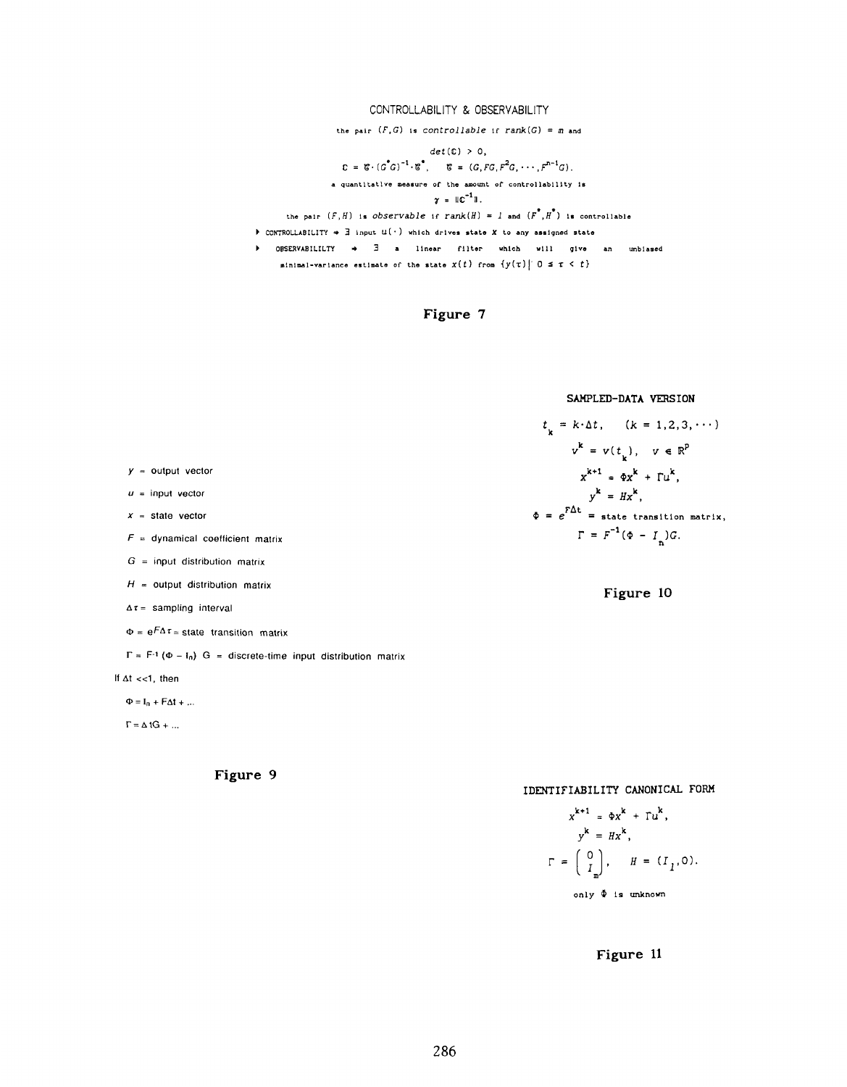### CONTROLLABILITY & OBSERVABILITY

the pair  $(F,G)$  is controllable if rank(G) =  $m$  and

$$
det(C) > 0,
$$
  
\n
$$
C = \mathcal{E} \cdot (G^{\circ}G)^{-1} \cdot \mathcal{E}^{\circ}, \qquad \mathcal{E} = (G, FG, F^2G, \dots, F^{n-1}G).
$$
  
\na quantity 
$$
\mathcal{E} = \mathcal{E} \cdot \mathcal{E}^{\circ}
$$
  
\n
$$
\mathcal{E} = \mathcal{E}^{-1} \cdot \mathcal{E}^{\circ}
$$
  
\n
$$
\mathcal{E} = \mathcal{E}^{-1} \cdot \mathcal{E}^{\circ}
$$
  
\n
$$
\mathcal{E} = \mathcal{E}^{-1} \cdot \mathcal{E}^{\circ}
$$

the pair  $(F, H)$  is observable if rank $(H) = 1$  and  $(F^{\bullet}, H^{\bullet})$  is controllable

 $\blacktriangleright$  CONTROLLABILITY  $\Rightarrow$   $\exists$  input  $u(\cdot)$  which drives state X to any assigned state

 $\triangleright$  OBSERVABILILTY  $\Rightarrow$   $\exists$  a linear filter which will give an unbiased minimal-variance estimate of the state  $x(t)$  from  $\{y(\tau) | 0 \leq \tau < t\}$ 



SAMPLED-DATA VERSION

$$
t_{k} = k \cdot \Delta t, \quad (k = 1, 2, 3, \cdots)
$$

$$
v^{k} = v(t_{k}), \quad v \in \mathbb{R}^{p}
$$

$$
x^{k+1} = \Phi x^{k} + \Gamma u^{k},
$$

$$
y^{k} = Hx^{k},
$$

$$
\Phi = e^{F\Delta t} = \text{state transition matrix},
$$

$$
\Gamma = F^{-1}(\Phi - I_{n})G.
$$



 $y =$  output vector

 $u =$  input vector

 $x = state vector$ 

 $F =$  dynamical coefficient matrix

 $G =$  input distribution matrix

 $H =$  output distribution matrix

 $\Delta \tau =$  sampling interval

 $\Phi = e^{F\Delta \tau}$  = state transition matrix

 $\Gamma = F^{-1} (\Phi - I_0) G =$  discrete-time input distribution matrix

If  $\Delta t$  <<1, then

 $\Phi = \mathbf{I}_n + \mathbf{F} \Delta \mathbf{t} + \dots$ 

 $\Gamma = \Delta \text{ 1G} + ...$ 



IDENTIFIABILITY CANONICAL FORM

$$
x^{k+1} = \Phi x^{k} + \Gamma u^{k},
$$
  
\n
$$
y^{k} = Hx^{k},
$$
  
\n
$$
\Gamma = \begin{pmatrix} 0 \\ I_m \end{pmatrix}, \quad H = (I_1, 0).
$$
  
\nonly  $\Phi$  is unknown